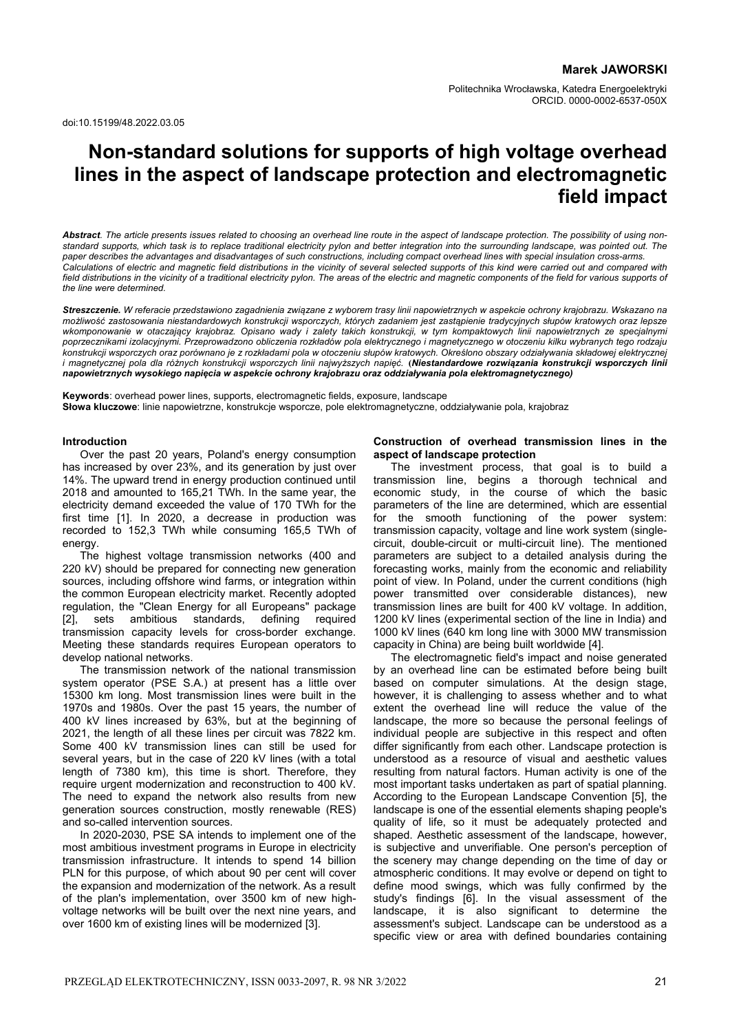doi:10.15199/48.2022.03.05

# **Non-standard solutions for supports of high voltage overhead lines in the aspect of landscape protection and electromagnetic field impact**

*Abstract. The article presents issues related to choosing an overhead line route in the aspect of landscape protection. The possibility of using nonstandard supports, which task is to replace traditional electricity pylon and better integration into the surrounding landscape, was pointed out. The paper describes the advantages and disadvantages of such constructions, including compact overhead lines with special insulation cross-arms.*  Calculations of electric and magnetic field distributions in the vicinity of several selected supports of this kind were carried out and compared with field distributions in the vicinity of a traditional electricity pylon. The areas of the electric and magnetic components of the field for various supports of *the line were determined.* 

*Streszczenie. W referacie przedstawiono zagadnienia związane z wyborem trasy linii napowietrznych w aspekcie ochrony krajobrazu. Wskazano na możliwość zastosowania niestandardowych konstrukcji wsporczych, których zadaniem jest zastąpienie tradycyjnych słupów kratowych oraz lepsze wkomponowanie w otaczający krajobraz. Opisano wady i zalety takich konstrukcji, w tym kompaktowych linii napowietrznych ze specjalnymi poprzecznikami izolacyjnymi. Przeprowadzono obliczenia rozkładów pola elektrycznego i magnetycznego w otoczeniu kilku wybranych tego rodzaju konstrukcji wsporczych oraz porównano je z rozkładami pola w otoczeniu słupów kratowych. Określono obszary odziaływania składowej elektrycznej i magnetycznej pola dla różnych konstrukcji wsporczych linii najwyższych napięć.* **(***Niestandardowe rozwiązania konstrukcji wsporczych linii napowietrznych wysokiego napięcia w aspekcie ochrony krajobrazu oraz oddziaływania pola elektromagnetycznego)*

**Keywords**: overhead power lines, supports, electromagnetic fields, exposure, landscape **Słowa kluczowe**: linie napowietrzne, konstrukcje wsporcze, pole elektromagnetyczne, oddziaływanie pola, krajobraz

#### **Introduction**

 Over the past 20 years, Poland's energy consumption has increased by over 23%, and its generation by just over 14%. The upward trend in energy production continued until 2018 and amounted to 165,21 TWh. In the same year, the electricity demand exceeded the value of 170 TWh for the first time [1]. In 2020, a decrease in production was recorded to 152,3 TWh while consuming 165,5 TWh of energy.

 The highest voltage transmission networks (400 and 220 kV) should be prepared for connecting new generation sources, including offshore wind farms, or integration within the common European electricity market. Recently adopted regulation, the "Clean Energy for all Europeans" package [2], sets ambitious standards, defining required transmission capacity levels for cross-border exchange. Meeting these standards requires European operators to develop national networks.

 The transmission network of the national transmission system operator (PSE S.A.) at present has a little over 15300 km long. Most transmission lines were built in the 1970s and 1980s. Over the past 15 years, the number of 400 kV lines increased by 63%, but at the beginning of 2021, the length of all these lines per circuit was 7822 km. Some 400 kV transmission lines can still be used for several years, but in the case of 220 kV lines (with a total length of 7380 km), this time is short. Therefore, they require urgent modernization and reconstruction to 400 kV. The need to expand the network also results from new generation sources construction, mostly renewable (RES) and so-called intervention sources.

 In 2020-2030, PSE SA intends to implement one of the most ambitious investment programs in Europe in electricity transmission infrastructure. It intends to spend 14 billion PLN for this purpose, of which about 90 per cent will cover the expansion and modernization of the network. As a result of the plan's implementation, over 3500 km of new highvoltage networks will be built over the next nine years, and over 1600 km of existing lines will be modernized [3].

### **Construction of overhead transmission lines in the aspect of landscape protection**

The investment process, that goal is to build a transmission line, begins a thorough technical and economic study, in the course of which the basic parameters of the line are determined, which are essential for the smooth functioning of the power system: transmission capacity, voltage and line work system (singlecircuit, double-circuit or multi-circuit line). The mentioned parameters are subject to a detailed analysis during the forecasting works, mainly from the economic and reliability point of view. In Poland, under the current conditions (high power transmitted over considerable distances), new transmission lines are built for 400 kV voltage. In addition, 1200 kV lines (experimental section of the line in India) and 1000 kV lines (640 km long line with 3000 MW transmission capacity in China) are being built worldwide [4].

The electromagnetic field's impact and noise generated by an overhead line can be estimated before being built based on computer simulations. At the design stage, however, it is challenging to assess whether and to what extent the overhead line will reduce the value of the landscape, the more so because the personal feelings of individual people are subjective in this respect and often differ significantly from each other. Landscape protection is understood as a resource of visual and aesthetic values resulting from natural factors. Human activity is one of the most important tasks undertaken as part of spatial planning. According to the European Landscape Convention [5], the landscape is one of the essential elements shaping people's quality of life, so it must be adequately protected and shaped. Aesthetic assessment of the landscape, however, is subjective and unverifiable. One person's perception of the scenery may change depending on the time of day or atmospheric conditions. It may evolve or depend on tight to define mood swings, which was fully confirmed by the study's findings [6]. In the visual assessment of the landscape, it is also significant to determine the assessment's subject. Landscape can be understood as a specific view or area with defined boundaries containing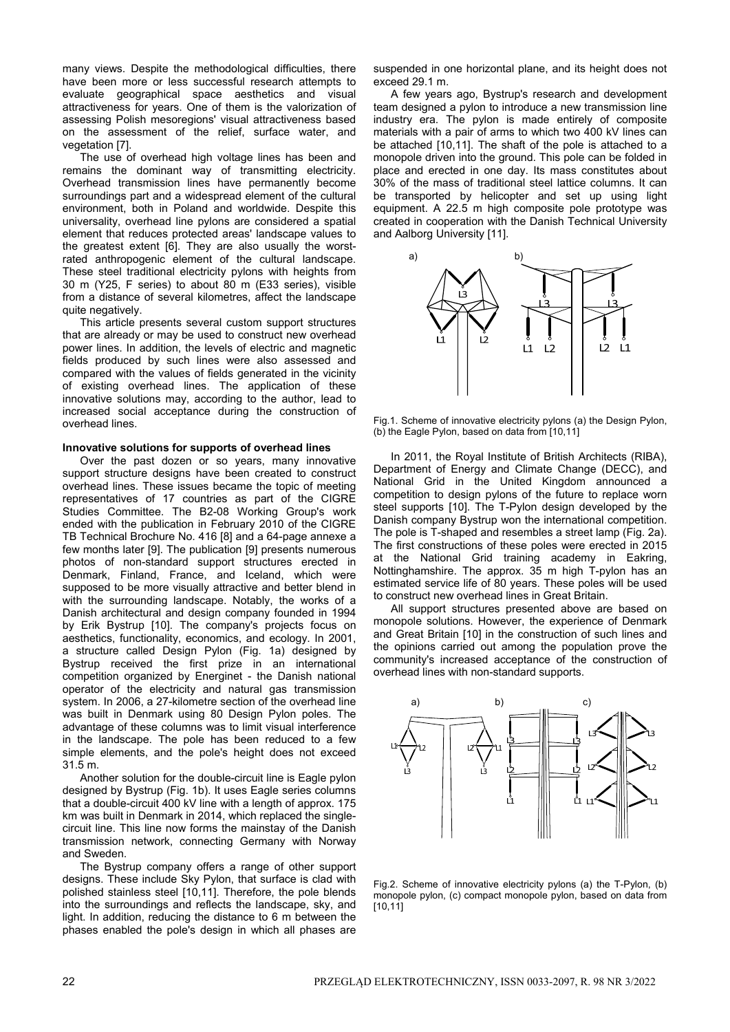many views. Despite the methodological difficulties, there have been more or less successful research attempts to evaluate geographical space aesthetics and visual attractiveness for years. One of them is the valorization of assessing Polish mesoregions' visual attractiveness based on the assessment of the relief, surface water, and vegetation [7].

The use of overhead high voltage lines has been and remains the dominant way of transmitting electricity. Overhead transmission lines have permanently become surroundings part and a widespread element of the cultural environment, both in Poland and worldwide. Despite this universality, overhead line pylons are considered a spatial element that reduces protected areas' landscape values to the greatest extent [6]. They are also usually the worstrated anthropogenic element of the cultural landscape. These steel traditional electricity pylons with heights from 30 m (Y25, F series) to about 80 m (E33 series), visible from a distance of several kilometres, affect the landscape quite negatively.

This article presents several custom support structures that are already or may be used to construct new overhead power lines. In addition, the levels of electric and magnetic fields produced by such lines were also assessed and compared with the values of fields generated in the vicinity of existing overhead lines. The application of these innovative solutions may, according to the author, lead to increased social acceptance during the construction of overhead lines.

### **Innovative solutions for supports of overhead lines**

 Over the past dozen or so years, many innovative support structure designs have been created to construct overhead lines. These issues became the topic of meeting representatives of 17 countries as part of the CIGRE Studies Committee. The B2-08 Working Group's work ended with the publication in February 2010 of the CIGRE TB Technical Brochure No. 416 [8] and a 64-page annexe a few months later [9]. The publication [9] presents numerous photos of non-standard support structures erected in Denmark, Finland, France, and Iceland, which were supposed to be more visually attractive and better blend in with the surrounding landscape. Notably, the works of a Danish architectural and design company founded in 1994 by Erik Bystrup [10]. The company's projects focus on aesthetics, functionality, economics, and ecology. In 2001, a structure called Design Pylon (Fig. 1a) designed by Bystrup received the first prize in an international competition organized by Energinet - the Danish national operator of the electricity and natural gas transmission system. In 2006, a 27-kilometre section of the overhead line was built in Denmark using 80 Design Pylon poles. The advantage of these columns was to limit visual interference in the landscape. The pole has been reduced to a few simple elements, and the pole's height does not exceed 31.5 m.

 Another solution for the double-circuit line is Eagle pylon designed by Bystrup (Fig. 1b). It uses Eagle series columns that a double-circuit 400 kV line with a length of approx. 175 km was built in Denmark in 2014, which replaced the singlecircuit line. This line now forms the mainstay of the Danish transmission network, connecting Germany with Norway and Sweden.

 The Bystrup company offers a range of other support designs. These include Sky Pylon, that surface is clad with polished stainless steel [10,11]. Therefore, the pole blends into the surroundings and reflects the landscape, sky, and light. In addition, reducing the distance to 6 m between the phases enabled the pole's design in which all phases are

suspended in one horizontal plane, and its height does not exceed 29.1 m.

 A few years ago, Bystrup's research and development team designed a pylon to introduce a new transmission line industry era. The pylon is made entirely of composite materials with a pair of arms to which two 400 kV lines can be attached [10,11]. The shaft of the pole is attached to a monopole driven into the ground. This pole can be folded in place and erected in one day. Its mass constitutes about 30% of the mass of traditional steel lattice columns. It can be transported by helicopter and set up using light equipment. A 22.5 m high composite pole prototype was created in cooperation with the Danish Technical University and Aalborg University [11].



Fig.1. Scheme of innovative electricity pylons (a) the Design Pylon, (b) the Eagle Pylon, based on data from [10,11]

In 2011, the Royal Institute of British Architects (RIBA), Department of Energy and Climate Change (DECC), and National Grid in the United Kingdom announced a competition to design pylons of the future to replace worn steel supports [10]. The T-Pylon design developed by the Danish company Bystrup won the international competition. The pole is T-shaped and resembles a street lamp (Fig. 2a). The first constructions of these poles were erected in 2015 at the National Grid training academy in Eakring, Nottinghamshire. The approx. 35 m high T-pylon has an estimated service life of 80 years. These poles will be used to construct new overhead lines in Great Britain.

All support structures presented above are based on monopole solutions. However, the experience of Denmark and Great Britain [10] in the construction of such lines and the opinions carried out among the population prove the community's increased acceptance of the construction of overhead lines with non-standard supports.



Fig.2. Scheme of innovative electricity pylons (a) the T-Pylon, (b) monopole pylon, (c) compact monopole pylon, based on data from [10.11]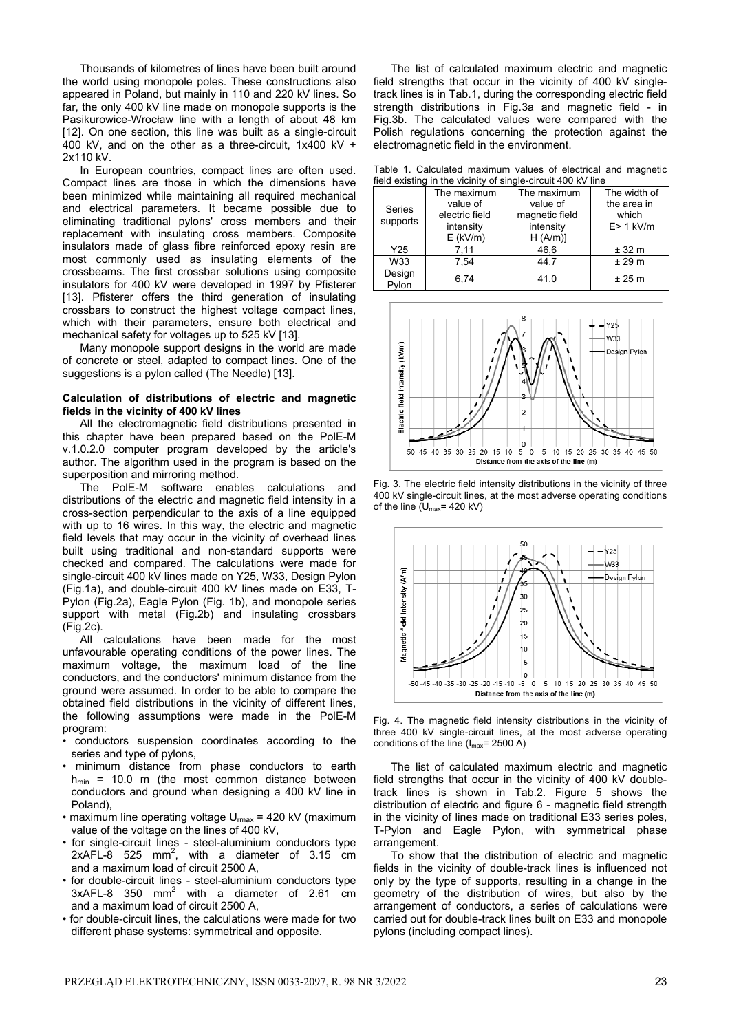Thousands of kilometres of lines have been built around the world using monopole poles. These constructions also appeared in Poland, but mainly in 110 and 220 kV lines. So far, the only 400 kV line made on monopole supports is the Pasikurowice-Wrocław line with a length of about 48 km [12]. On one section, this line was built as a single-circuit  $400$  kV, and on the other as a three-circuit, 1x400 kV + 2x110 kV.

In European countries, compact lines are often used. Compact lines are those in which the dimensions have been minimized while maintaining all required mechanical and electrical parameters. It became possible due to eliminating traditional pylons' cross members and their replacement with insulating cross members. Composite insulators made of glass fibre reinforced epoxy resin are most commonly used as insulating elements of the crossbeams. The first crossbar solutions using composite insulators for 400 kV were developed in 1997 by Pfisterer [13]. Pfisterer offers the third generation of insulating crossbars to construct the highest voltage compact lines, which with their parameters, ensure both electrical and mechanical safety for voltages up to 525 kV [13].

Many monopole support designs in the world are made of concrete or steel, adapted to compact lines. One of the suggestions is a pylon called (The Needle) [13].

## **Calculation of distributions of electric and magnetic fields in the vicinity of 400 kV lines**

 All the electromagnetic field distributions presented in this chapter have been prepared based on the PolE-M v.1.0.2.0 computer program developed by the article's author. The algorithm used in the program is based on the superposition and mirroring method.

 The PolE-M software enables calculations and distributions of the electric and magnetic field intensity in a cross-section perpendicular to the axis of a line equipped with up to 16 wires. In this way, the electric and magnetic field levels that may occur in the vicinity of overhead lines built using traditional and non-standard supports were checked and compared. The calculations were made for single-circuit 400 kV lines made on Y25, W33, Design Pylon (Fig.1a), and double-circuit 400 kV lines made on E33, T-Pylon (Fig.2a), Eagle Pylon (Fig. 1b), and monopole series support with metal (Fig.2b) and insulating crossbars (Fig.2c).

 All calculations have been made for the most unfavourable operating conditions of the power lines. The maximum voltage, the maximum load of the line conductors, and the conductors' minimum distance from the ground were assumed. In order to be able to compare the obtained field distributions in the vicinity of different lines, the following assumptions were made in the PolE-M program:

- conductors suspension coordinates according to the series and type of pylons,
- minimum distance from phase conductors to earth  $h_{min}$  = 10.0 m (the most common distance between conductors and ground when designing a 400 kV line in Poland)
- maximum line operating voltage  $U_{\text{max}}$  = 420 kV (maximum value of the voltage on the lines of 400 kV,
- for single-circuit lines steel-aluminium conductors type 2xAFL-8 525 mm<sup>2</sup>, with a diameter of 3.15 cm and a maximum load of circuit 2500 A,
- for double-circuit lines steel-aluminium conductors type  $3x$ AFL-8 350 mm<sup>2</sup> with a diameter of 2.61 cm and a maximum load of circuit 2500 A,
- for double-circuit lines, the calculations were made for two different phase systems: symmetrical and opposite.

 The list of calculated maximum electric and magnetic field strengths that occur in the vicinity of 400 kV singletrack lines is in Tab.1, during the corresponding electric field strength distributions in Fig.3a and magnetic field - in Fig.3b. The calculated values were compared with the Polish regulations concerning the protection against the electromagnetic field in the environment.

Table 1. Calculated maximum values of electrical and magnetic field existing in the vicinity of single-circuit 400 kV line

| lield existing in the vicinity of single-circuit 400 KV line |                |                |              |  |
|--------------------------------------------------------------|----------------|----------------|--------------|--|
| Series<br>supports                                           | The maximum    | The maximum    | The width of |  |
|                                                              | value of       | value of       | the area in  |  |
|                                                              | electric field | magnetic field | which        |  |
|                                                              | intensity      | intensity      | $E > 1$ kV/m |  |
|                                                              | $E$ (kV/m)     | H (A/m)        |              |  |
| Y25                                                          | 7.11           | 46,6           | ± 32 m       |  |
| W33                                                          | 7.54           | 44.7           | ± 29 m       |  |
| Design<br>Pylon                                              | 6.74           | 41,0           | ± 25 m       |  |



Fig. 3. The electric field intensity distributions in the vicinity of three 400 kV single-circuit lines, at the most adverse operating conditions of the line  $(U_{\text{max}}=420 \text{ kV})$ 



Fig. 4. The magnetic field intensity distributions in the vicinity of three 400 kV single-circuit lines, at the most adverse operating conditions of the line  $(I_{\text{max}} = 2500 \text{ A})$ 

The list of calculated maximum electric and magnetic field strengths that occur in the vicinity of 400 kV doubletrack lines is shown in Tab.2. Figure 5 shows the distribution of electric and figure 6 - magnetic field strength in the vicinity of lines made on traditional E33 series poles, T-Pylon and Eagle Pylon, with symmetrical phase arrangement

To show that the distribution of electric and magnetic fields in the vicinity of double-track lines is influenced not only by the type of supports, resulting in a change in the geometry of the distribution of wires, but also by the arrangement of conductors, a series of calculations were carried out for double-track lines built on E33 and monopole pylons (including compact lines).